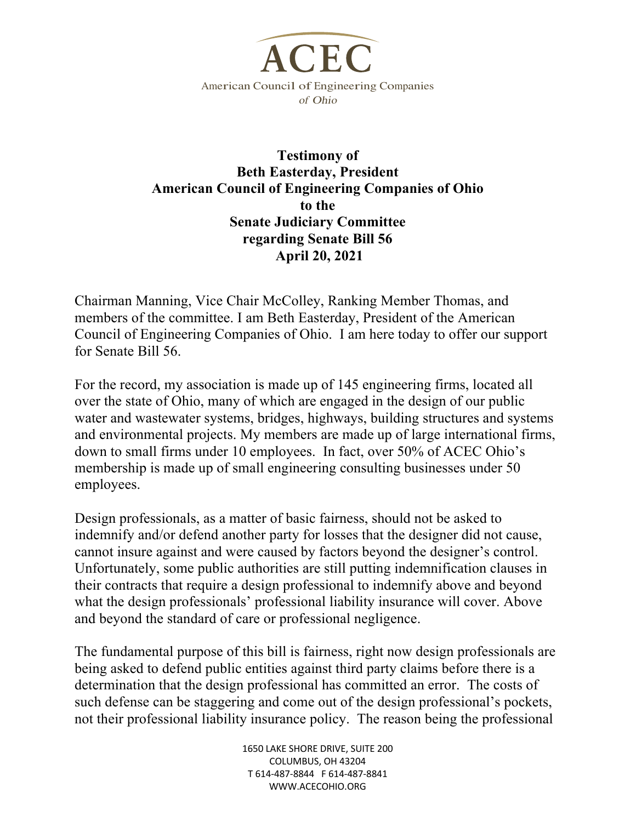

## **Testimony of Beth Easterday, President American Council of Engineering Companies of Ohio to the Senate Judiciary Committee regarding Senate Bill 56 April 20, 2021**

Chairman Manning, Vice Chair McColley, Ranking Member Thomas, and members of the committee. I am Beth Easterday, President of the American Council of Engineering Companies of Ohio. I am here today to offer our support for Senate Bill 56.

For the record, my association is made up of 145 engineering firms, located all over the state of Ohio, many of which are engaged in the design of our public water and wastewater systems, bridges, highways, building structures and systems and environmental projects. My members are made up of large international firms, down to small firms under 10 employees. In fact, over 50% of ACEC Ohio's membership is made up of small engineering consulting businesses under 50 employees.

Design professionals, as a matter of basic fairness, should not be asked to indemnify and/or defend another party for losses that the designer did not cause, cannot insure against and were caused by factors beyond the designer's control. Unfortunately, some public authorities are still putting indemnification clauses in their contracts that require a design professional to indemnify above and beyond what the design professionals' professional liability insurance will cover. Above and beyond the standard of care or professional negligence.

The fundamental purpose of this bill is fairness, right now design professionals are being asked to defend public entities against third party claims before there is a determination that the design professional has committed an error. The costs of such defense can be staggering and come out of the design professional's pockets, not their professional liability insurance policy. The reason being the professional

> 1650 LAKE SHORE DRIVE, SUITE 200 COLUMBUS, OH 43204 T 614-487-8844 F 614-487-8841 WWW.ACECOHIO.ORG